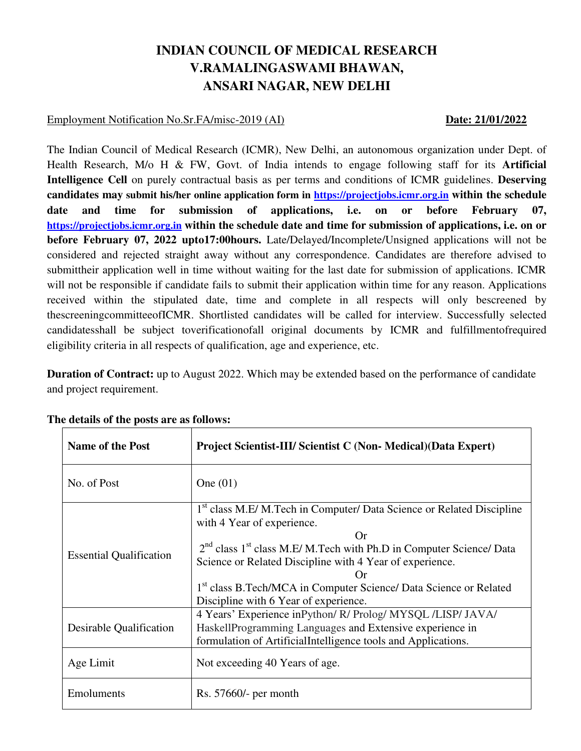# **INDIAN COUNCIL OF MEDICAL RESEARCH V.RAMALINGASWAMI BHAWAN, ANSARI NAGAR, NEW DELHI**

## Employment Notification No.Sr.FA/misc-2019 (AI) **Date: 21/01/2022**

The Indian Council of Medical Research (ICMR), New Delhi, an autonomous organization under Dept. of Health Research, M/o H & FW, Govt. of India intends to engage following staff for its **Artificial Intelligence Cell** on purely contractual basis as per terms and conditions of ICMR guidelines. **Deserving candidates may submit his/her online application form in [https://projectjobs.icmr.org.in](https://projectjobs.icmr.org.in/) within the schedule date and time for submission of applications, i.e. on or before February 07, [https://projectjobs.icmr.org.in](https://projectjobs.icmr.org.in/) within the schedule date and time for submission of applications, i.e. on or before February 07, 2022 upto17:00hours.** Late/Delayed/Incomplete/Unsigned applications will not be considered and rejected straight away without any correspondence. Candidates are therefore advised to submittheir application well in time without waiting for the last date for submission of applications. ICMR will not be responsible if candidate fails to submit their application within time for any reason. Applications received within the stipulated date, time and complete in all respects will only bescreened by thescreeningcommitteeofICMR. Shortlisted candidates will be called for interview. Successfully selected candidatesshall be subject toverificationofall original documents by ICMR and fulfillmentofrequired eligibility criteria in all respects of qualification, age and experience, etc.

**Duration of Contract:** up to August 2022. Which may be extended based on the performance of candidate and project requirement.

| <b>Name of the Post</b>        | Project Scientist-III/ Scientist C (Non- Medical) (Data Expert)                                                                                                                                                                                                                                                                                                                                   |
|--------------------------------|---------------------------------------------------------------------------------------------------------------------------------------------------------------------------------------------------------------------------------------------------------------------------------------------------------------------------------------------------------------------------------------------------|
| No. of Post                    | One $(01)$                                                                                                                                                                                                                                                                                                                                                                                        |
| <b>Essential Qualification</b> | 1 <sup>st</sup> class M.E/ M.Tech in Computer/ Data Science or Related Discipline<br>with 4 Year of experience.<br><b>Or</b><br>$2nd$ class 1 <sup>st</sup> class M.E/ M.Tech with Ph.D in Computer Science/ Data<br>Science or Related Discipline with 4 Year of experience.<br>Or<br>1st class B.Tech/MCA in Computer Science/ Data Science or Related<br>Discipline with 6 Year of experience. |
| Desirable Qualification        | 4 Years' Experience inPython/ R/ Prolog/ MYSQL/LISP/ JAVA/<br>HaskellProgramming Languages and Extensive experience in<br>formulation of ArtificialIntelligence tools and Applications.                                                                                                                                                                                                           |
| Age Limit                      | Not exceeding 40 Years of age.                                                                                                                                                                                                                                                                                                                                                                    |
| Emoluments                     | $Rs. 57660/-$ per month                                                                                                                                                                                                                                                                                                                                                                           |

## **The details of the posts are as follows:**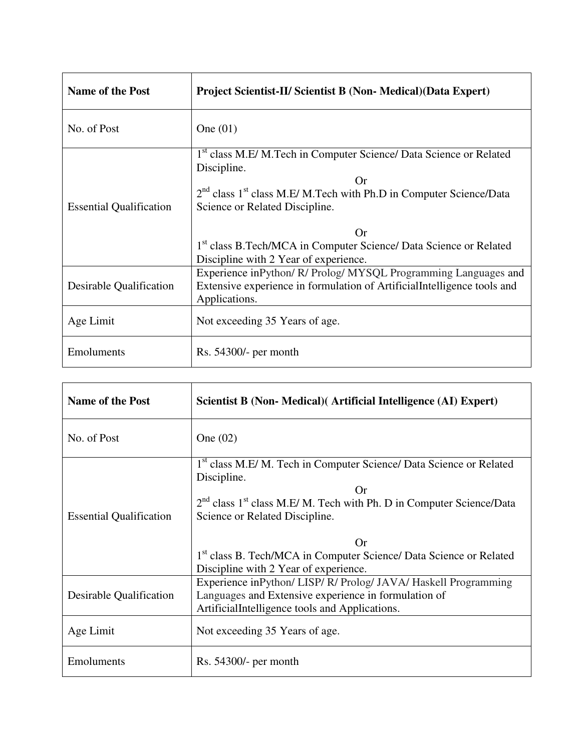| <b>Name of the Post</b>        | <b>Project Scientist-II/ Scientist B (Non- Medical) (Data Expert)</b>                                                                                                                                                                                                                                                                                   |
|--------------------------------|---------------------------------------------------------------------------------------------------------------------------------------------------------------------------------------------------------------------------------------------------------------------------------------------------------------------------------------------------------|
| No. of Post                    | One $(01)$                                                                                                                                                                                                                                                                                                                                              |
| <b>Essential Qualification</b> | 1 <sup>st</sup> class M.E/ M.Tech in Computer Science/ Data Science or Related<br>Discipline.<br>Or<br>2 <sup>nd</sup> class 1 <sup>st</sup> class M.E/ M.Tech with Ph.D in Computer Science/Data<br>Science or Related Discipline.<br>Or<br>1st class B.Tech/MCA in Computer Science/ Data Science or Related<br>Discipline with 2 Year of experience. |
| Desirable Qualification        | Experience inPython/ R/ Prolog/ MYSQL Programming Languages and<br>Extensive experience in formulation of ArtificialIntelligence tools and<br>Applications.                                                                                                                                                                                             |
| Age Limit                      | Not exceeding 35 Years of age.                                                                                                                                                                                                                                                                                                                          |
| Emoluments                     | $Rs. 54300/-$ per month                                                                                                                                                                                                                                                                                                                                 |

| <b>Name of the Post</b>        | Scientist B (Non-Medical) (Artificial Intelligence (AI) Expert)                                                                                                                                                                               |
|--------------------------------|-----------------------------------------------------------------------------------------------------------------------------------------------------------------------------------------------------------------------------------------------|
| No. of Post                    | One $(02)$                                                                                                                                                                                                                                    |
| <b>Essential Qualification</b> | 1 <sup>st</sup> class M.E/ M. Tech in Computer Science/ Data Science or Related<br>Discipline.<br><b>Or</b><br>2 <sup>nd</sup> class 1 <sup>st</sup> class M.E/ M. Tech with Ph. D in Computer Science/Data<br>Science or Related Discipline. |
|                                | Or<br>1 <sup>st</sup> class B. Tech/MCA in Computer Science/ Data Science or Related<br>Discipline with 2 Year of experience.                                                                                                                 |
| Desirable Qualification        | Experience inPython/LISP/R/Prolog/JAVA/Haskell Programming<br>Languages and Extensive experience in formulation of<br>ArtificialIntelligence tools and Applications.                                                                          |
| Age Limit                      | Not exceeding 35 Years of age.                                                                                                                                                                                                                |
| Emoluments                     | $Rs. 54300/-$ per month                                                                                                                                                                                                                       |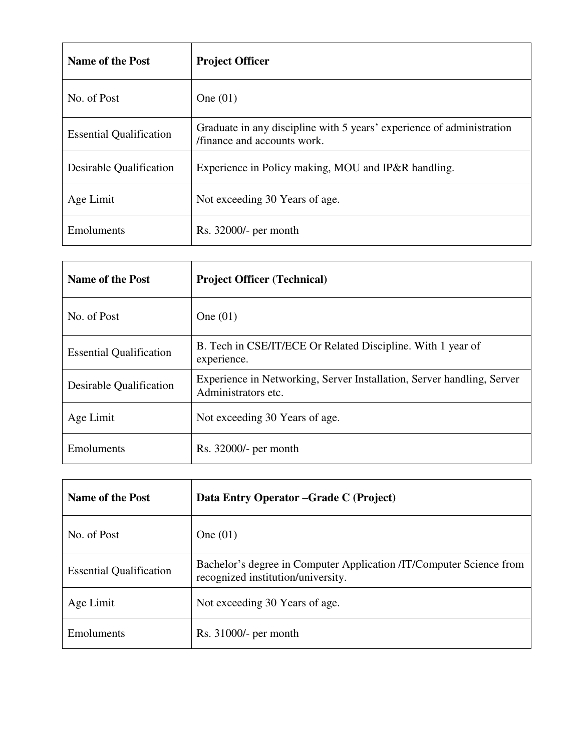| <b>Name of the Post</b>        | <b>Project Officer</b>                                                                               |
|--------------------------------|------------------------------------------------------------------------------------------------------|
| No. of Post                    | One $(01)$                                                                                           |
| <b>Essential Qualification</b> | Graduate in any discipline with 5 years' experience of administration<br>/finance and accounts work. |
| Desirable Qualification        | Experience in Policy making, MOU and IP&R handling.                                                  |
| Age Limit                      | Not exceeding 30 Years of age.                                                                       |
| Emoluments                     | $Rs. 32000/-$ per month                                                                              |

| <b>Name of the Post</b>        | <b>Project Officer (Technical)</b>                                                            |
|--------------------------------|-----------------------------------------------------------------------------------------------|
| No. of Post                    | One $(01)$                                                                                    |
| <b>Essential Qualification</b> | B. Tech in CSE/IT/ECE Or Related Discipline. With 1 year of<br>experience.                    |
| Desirable Qualification        | Experience in Networking, Server Installation, Server handling, Server<br>Administrators etc. |
| Age Limit                      | Not exceeding 30 Years of age.                                                                |
| Emoluments                     | Rs. 32000/- per month                                                                         |

| <b>Name of the Post</b>        | Data Entry Operator – Grade C (Project)                                                                   |
|--------------------------------|-----------------------------------------------------------------------------------------------------------|
| No. of Post                    | One $(01)$                                                                                                |
| <b>Essential Qualification</b> | Bachelor's degree in Computer Application /IT/Computer Science from<br>recognized institution/university. |
| Age Limit                      | Not exceeding 30 Years of age.                                                                            |
| Emoluments                     | $Rs. 31000/-$ per month                                                                                   |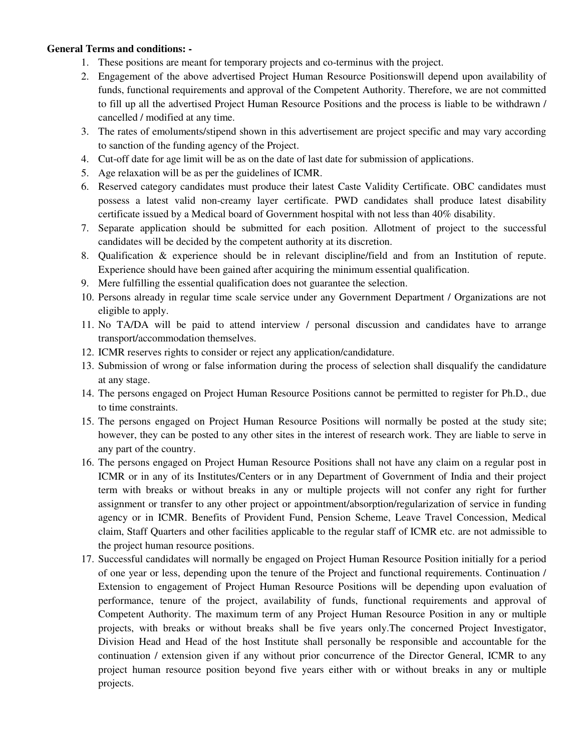### **General Terms and conditions: -**

- 1. These positions are meant for temporary projects and co-terminus with the project.
- 2. Engagement of the above advertised Project Human Resource Positionswill depend upon availability of funds, functional requirements and approval of the Competent Authority. Therefore, we are not committed to fill up all the advertised Project Human Resource Positions and the process is liable to be withdrawn / cancelled / modified at any time.
- 3. The rates of emoluments/stipend shown in this advertisement are project specific and may vary according to sanction of the funding agency of the Project.
- 4. Cut-off date for age limit will be as on the date of last date for submission of applications.
- 5. Age relaxation will be as per the guidelines of ICMR.
- 6. Reserved category candidates must produce their latest Caste Validity Certificate. OBC candidates must possess a latest valid non-creamy layer certificate. PWD candidates shall produce latest disability certificate issued by a Medical board of Government hospital with not less than 40% disability.
- 7. Separate application should be submitted for each position. Allotment of project to the successful candidates will be decided by the competent authority at its discretion.
- 8. Qualification & experience should be in relevant discipline/field and from an Institution of repute. Experience should have been gained after acquiring the minimum essential qualification.
- 9. Mere fulfilling the essential qualification does not guarantee the selection.
- 10. Persons already in regular time scale service under any Government Department / Organizations are not eligible to apply.
- 11. No TA/DA will be paid to attend interview / personal discussion and candidates have to arrange transport/accommodation themselves.
- 12. ICMR reserves rights to consider or reject any application/candidature.
- 13. Submission of wrong or false information during the process of selection shall disqualify the candidature at any stage.
- 14. The persons engaged on Project Human Resource Positions cannot be permitted to register for Ph.D., due to time constraints.
- 15. The persons engaged on Project Human Resource Positions will normally be posted at the study site; however, they can be posted to any other sites in the interest of research work. They are liable to serve in any part of the country.
- 16. The persons engaged on Project Human Resource Positions shall not have any claim on a regular post in ICMR or in any of its Institutes/Centers or in any Department of Government of India and their project term with breaks or without breaks in any or multiple projects will not confer any right for further assignment or transfer to any other project or appointment/absorption/regularization of service in funding agency or in ICMR. Benefits of Provident Fund, Pension Scheme, Leave Travel Concession, Medical claim, Staff Quarters and other facilities applicable to the regular staff of ICMR etc. are not admissible to the project human resource positions.
- 17. Successful candidates will normally be engaged on Project Human Resource Position initially for a period of one year or less, depending upon the tenure of the Project and functional requirements. Continuation / Extension to engagement of Project Human Resource Positions will be depending upon evaluation of performance, tenure of the project, availability of funds, functional requirements and approval of Competent Authority. The maximum term of any Project Human Resource Position in any or multiple projects, with breaks or without breaks shall be five years only.The concerned Project Investigator, Division Head and Head of the host Institute shall personally be responsible and accountable for the continuation / extension given if any without prior concurrence of the Director General, ICMR to any project human resource position beyond five years either with or without breaks in any or multiple projects.